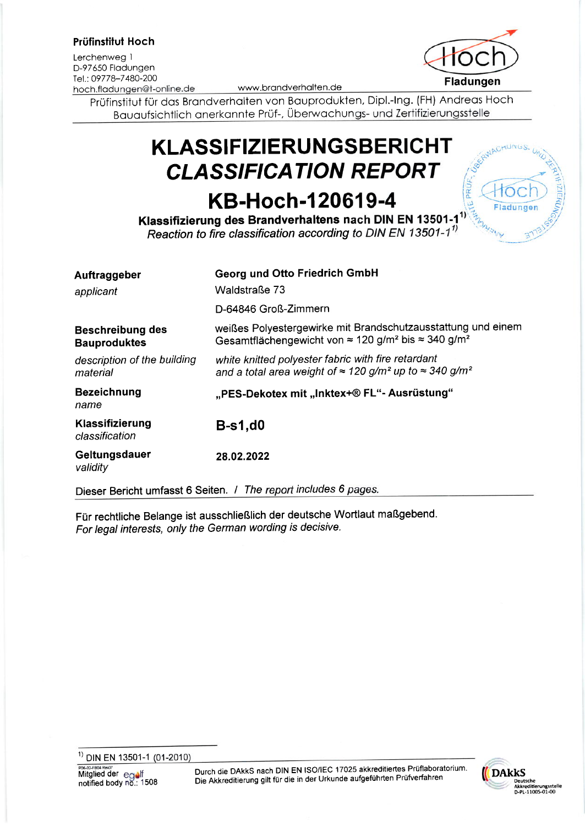### Prüfinstilut Hoch

Lerchenweg <sup>I</sup> D-97650 Fladungen<br>Tel.: 09778-7480-200 hoch.fladungen@t-online.de

Prüfinstitut für dos Brondverholten von Bouprodukten, Dipl.-lng. (FH) Andreos Hoch Bauaufsichtlich anerkannte Prüf-, Überwachungs- und Zertifizierungsstelle

# **KLASSIFIZIERUNGSBERICHT CLASSIFICATION REPORT**

# KB-Hoch-120619-4

Klassifizierung des Brandverhaltens nach DIN EN 13501-1<sup>1)</sup> Reaction to fire classification according to DIN EN 13501-1 $^{11}$ 

| Georg und Otto Friedrich GmbH                                                                                                                              |
|------------------------------------------------------------------------------------------------------------------------------------------------------------|
| Waldstraße 73                                                                                                                                              |
| D-64846 Groß-Zimmern                                                                                                                                       |
| weißes Polyestergewirke mit Brandschutzausstattung und einem<br>Gesamtflächengewicht von $\approx 120$ g/m <sup>2</sup> bis $\approx 340$ g/m <sup>2</sup> |
| white knitted polyester fabric with fire retardant<br>and a total area weight of $\approx$ 120 g/m <sup>2</sup> up to $\approx$ 340 g/m <sup>2</sup>       |
| "PES-Dekotex mit "Inktex+® FL"- Ausrüstung"                                                                                                                |
| <b>B-s1,d0</b>                                                                                                                                             |
| 28.02.2022                                                                                                                                                 |
|                                                                                                                                                            |

Dieser Bericht umfasst 6 Seiten. / The report includes 6 pages.

Für rechtliche Belange ist ausschließlich der deutsche Wortlaut maßgebend. For legal interests, only the German wording is decisive.





PRUF ö

 $'$ <sup>1)</sup> DIN EN 13501-1 (01-2010)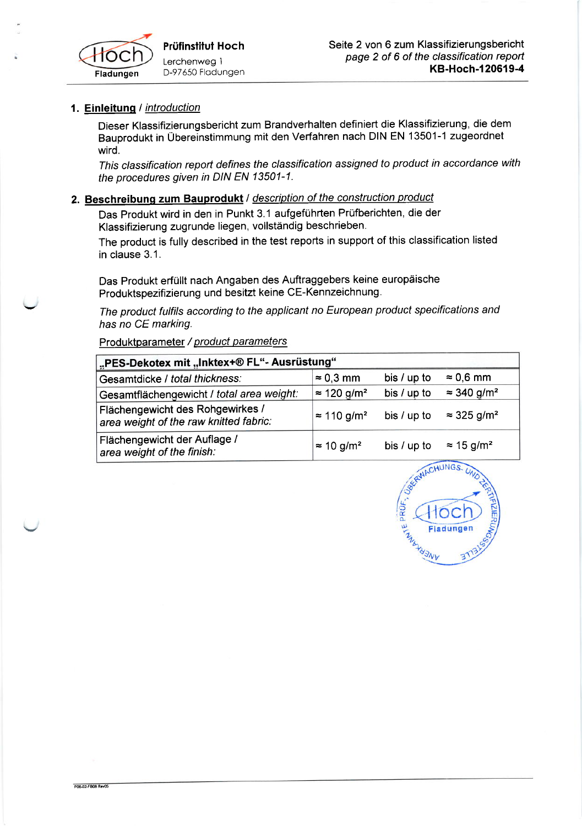

POSJ2-FROB RevOS

## 1. Einleitung / introduction

Dieser Klassifizierungsbericht zum Brandverhalten definiert die Klassifizierung, die dem Bauprodukt in Übereinstimmung mit den Verfahren nach DIN EN 13501-1 zugeordnet wird.

This classification report defines the classification assigned to product in accordance with the procedures given in DIN EN 13501-1.

## 2. Beschreibung zum Bauprodukt / description of the construction product

Das Produkt wird in den in Punkt 3.1 aufgeführten Prüfberichten, die der Klassifizierung zugrunde liegen, vollständig beschrieben'

The product is fully described in the test reports in support of this classification listed in clause 3.1.

Das Produkt erfüllt nach Angaben des Auftraggebers keine europäische Produktspezifizierung und besitzt keine CE-Kennzeichnung.

The product fulfils according to the applicant no European product specifications and has no CE marking.

Produktparameter / product parameters

| <b>I</b> "PES-Dekotex mit "Inktex+® FL"- Ausrüstung"                       |                                |               |                                |  |  |  |
|----------------------------------------------------------------------------|--------------------------------|---------------|--------------------------------|--|--|--|
| Gesamtdicke / total thickness:                                             | $\approx$ 0.3 mm               | bis $/$ up to | $\approx 0.6$ mm               |  |  |  |
| Gesamtflächengewicht / total area weight:                                  | $\approx$ 120 g/m <sup>2</sup> | bis / up to   | $\approx$ 340 g/m <sup>2</sup> |  |  |  |
| Flächengewicht des Rohgewirkes /<br>area weight of the raw knitted fabric: | $\approx$ 110 g/m <sup>2</sup> | bis $/$ up to | $\approx$ 325 g/m <sup>2</sup> |  |  |  |
| Flächengewicht der Auflage /<br>area weight of the finish:                 | $\approx$ 10 g/m <sup>2</sup>  | bis $/$ up to | $\approx 15$ g/m <sup>2</sup>  |  |  |  |

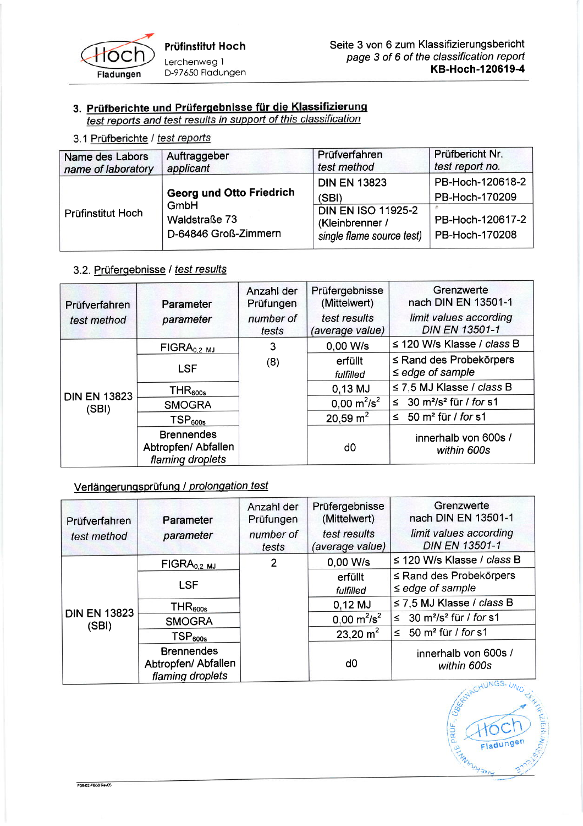

# 3. Prüfberichte und Prüfergebnisse für die Klassifizierung<br>test reports and test results in support of this classification

3.1 Prüfberichte / test reports

| Name des Labors<br>name of laboratory | Auftraggeber<br>applicant                     | Prüfverfahren<br>test method                                              | Prüfbericht Nr.<br>test report no. |
|---------------------------------------|-----------------------------------------------|---------------------------------------------------------------------------|------------------------------------|
| Prüfinstitut Hoch                     | <b>Georg und Otto Friedrich</b>               | <b>DIN EN 13823</b><br>(SBI)                                              | PB-Hoch-120618-2<br>PB-Hoch-170209 |
|                                       | GmbH<br>Waldstraße 73<br>D-64846 Groß-Zimmern | <b>DIN EN ISO 11925-2</b><br>(Kleinbrenner /<br>single flame source test) | PB-Hoch-120617-2<br>PB-Hoch-170208 |

## 3.2. Prüfergebnisse / test results

| Prüfverfahren                | Parameter                                                    | Anzahl der<br>Prüfungen | Prüfergebnisse<br>(Mittelwert)  | Grenzwerte<br>nach DIN EN 13501-1                    |
|------------------------------|--------------------------------------------------------------|-------------------------|---------------------------------|------------------------------------------------------|
| test method                  | parameter                                                    | number of<br>tests      | test results<br>(average value) | limit values according<br><b>DIN EN 13501-1</b>      |
|                              | $FIGRA0.2$ mJ                                                | 3                       | 0,00 W/s                        | $\leq$ 120 W/s Klasse / class B                      |
| <b>DIN EN 13823</b><br>(SBI) | <b>LSF</b>                                                   | (8)                     | erfüllt<br>fulfilled            | $\le$ Rand des Probekörpers<br>$\leq$ edge of sample |
|                              | THR <sub>600s</sub>                                          |                         | $0,13$ MJ                       | $\leq$ 7.5 MJ Klasse / class B                       |
|                              | <b>SMOGRA</b>                                                |                         | $0.00 \text{ m}^2/\text{s}^2$   | ≤ 30 m <sup>2</sup> /s <sup>2</sup> für / for s1     |
|                              | TSP <sub>600s</sub>                                          |                         | 20,59 $m2$                      | $\leq$ 50 m <sup>2</sup> für / for s1                |
|                              | <b>Brennendes</b><br>Abtropfen/ Abfallen<br>flaming droplets |                         | d <sub>0</sub>                  | innerhalb von 600s /<br>within 600s                  |

## Verlängerungsprüfung / prolongation test

| Prüfverfahren                | Parameter           | Anzahl der<br>Prüfungen                                      | Prüfergebnisse<br>(Mittelwert)  | Grenzwerte<br>nach DIN EN 13501-1                     |
|------------------------------|---------------------|--------------------------------------------------------------|---------------------------------|-------------------------------------------------------|
| test method                  | parameter           | number of<br>tests                                           | test results<br>(average value) | limit values according<br><b>DIN EN 13501-1</b>       |
| <b>DIN EN 13823</b><br>(SBI) | $FIGRA0.2$ MJ       | 2                                                            | 0.00 W/s                        | $\leq$ 120 W/s Klasse / class B                       |
|                              | <b>LSF</b>          |                                                              | erfüllt<br>fulfilled            | $\le$ Rand des Probekörpers<br>$\leq$ edge of sample  |
|                              | THR <sub>600s</sub> |                                                              | $0,12$ MJ                       | $\leq$ 7.5 MJ Klasse / class B                        |
|                              | <b>SMOGRA</b>       |                                                              | $0,00 \text{ m}^2/\text{s}^2$   | $\leq$ 30 m <sup>2</sup> /s <sup>2</sup> für / for s1 |
|                              | TSP <sub>600s</sub> |                                                              | 23,20 $m2$                      | ≤ 50 m <sup>2</sup> für / for s1                      |
|                              |                     | <b>Brennendes</b><br>Abtropfen/ Abfallen<br>flaming droplets |                                 | d0                                                    |

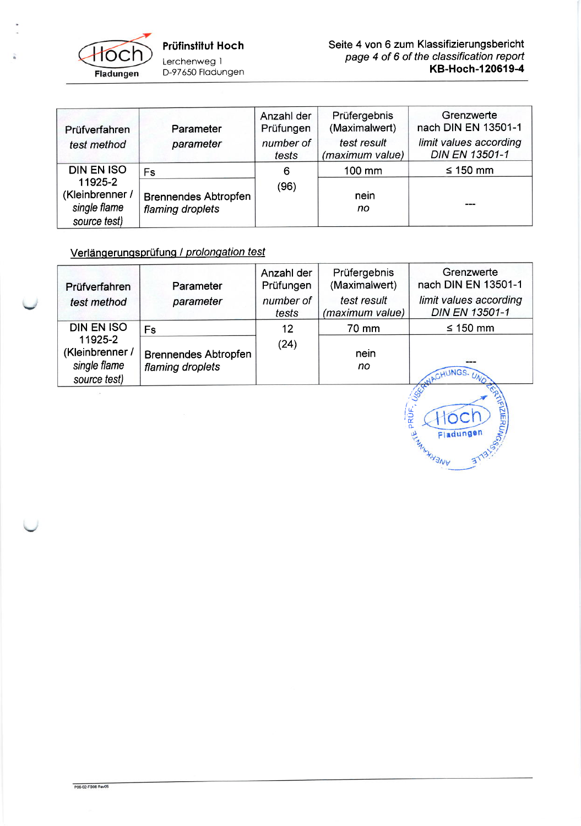

| Prüfverfahren<br>test method                               | Parameter<br>parameter                          | Anzahl der<br>Prüfungen<br>number of<br>tests | Prüfergebnis<br>(Maximalwert)<br>test result<br>(maximum value) | Grenzwerte<br>nach DIN EN 13501-1<br>limit values according<br><b>DIN EN 13501-1</b> |
|------------------------------------------------------------|-------------------------------------------------|-----------------------------------------------|-----------------------------------------------------------------|--------------------------------------------------------------------------------------|
| <b>DIN EN ISO</b>                                          | <b>Fs</b>                                       | 6                                             | 100 mm                                                          | $\leq 150$ mm                                                                        |
| 11925-2<br>(Kleinbrenner /<br>single flame<br>source test) | <b>Brennendes Abtropfen</b><br>flaming droplets | (96)                                          | nein<br>no                                                      | $---$                                                                                |

## Verlängerungsprüfung / prolongation test

| Prüfverfahren                                              | Parameter                                       | Anzahl der<br>Prüfungen | Prüfergebnis<br>(Maximalwert)  | Grenzwerte<br>nach DIN EN 13501-1               |
|------------------------------------------------------------|-------------------------------------------------|-------------------------|--------------------------------|-------------------------------------------------|
| test method                                                | parameter                                       | number of<br>tests      | test result<br>(maximum value) | limit values according<br><b>DIN EN 13501-1</b> |
| <b>DIN EN ISO</b>                                          | Fs                                              | 12                      | 70 mm                          | ≤ 150 mm                                        |
| 11925-2<br>(Kleinbrenner /<br>single flame<br>source test) | <b>Brennendes Abtropfen</b><br>flaming droplets | (24)                    | nein<br>no                     | INGS-UND                                        |

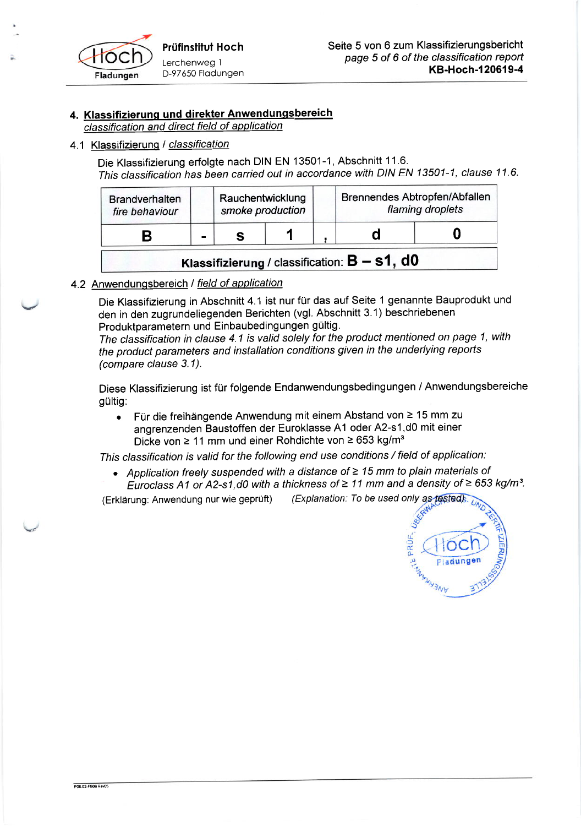

## 4. Klassifizierunq und direkter Anwendunqsbereich

classification and direct field of application

### 4.1 Klassifizierung / classification

Die Klassifizierung erfolgte nach DIN EN 13501-1, Abschnitt 11.6. This classification has been carried out in accordance with DIN EN 13501-1, clause 11.6.

| <b>Brandverhalten</b><br>fire behaviour |                | Rauchentwicklung<br>smoke production |  | Brennendes Abtropfen/Abfallen                   | flaming droplets |
|-----------------------------------------|----------------|--------------------------------------|--|-------------------------------------------------|------------------|
|                                         | $\blacksquare$ |                                      |  |                                                 |                  |
|                                         |                |                                      |  | Klassifizierung / classification: $B - s1$ , d0 |                  |

4.2 Anwendungsbereich / field of application

Die Klassifizierung in Abschnitt 4.1 ist nur für das auf Seite 1 genannte Bauprodukt und den in den zugrundeliegenden Berichten (vgl. Abschnitt 3.1) beschriebenen Produktparametern und Einbaubedingungen gültig.

The classification in clause 4.1 is valid solely for the product mentioned on page 1, with the product parameters and installation conditions given in the underlying repofts (compare clause 3.1).

Diese Klassifizierung ist für folgende Endanwendungsbedingungen / Anwendungsbereiche gültig:

Für die freihängende Anwendung mit einem Abstand von ≥ 15 mm zu angrenzenden Baustoffen der Euroklasse A1 oder A2-s1,d0 mit einer Dicke von  $\geq 11$  mm und einer Rohdichte von  $\geq 653$  kg/m<sup>3</sup>

This classification is valid for the following end use conditions / field of application:

• Application freely suspended with a distance of  $\geq 15$  mm to plain materials of Euroclass A1 or A2-s1, d0 with a thickness of  $\geq$  11 mm and a density of  $\geq$  653 kg/m<sup>3</sup>.

(Erklärung: Anwendung nur wie geprüft) (Explanation: To be used only as tested).